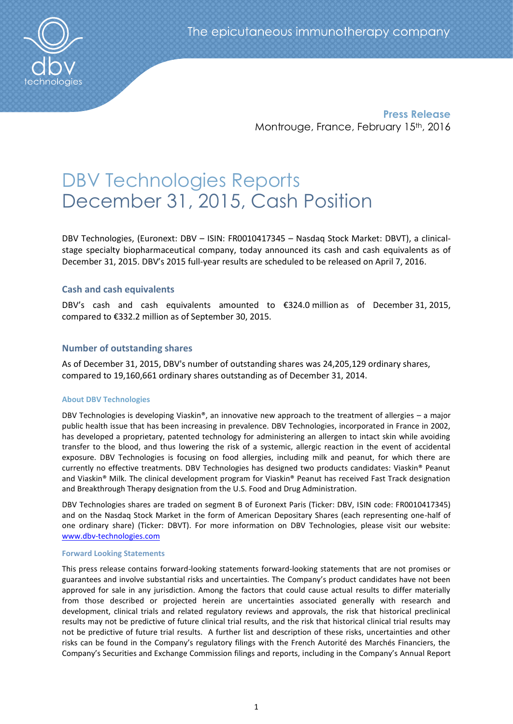

**Press Release** Montrouge, France, February 15<sup>th</sup>, 2016

# DBV Technologies Reports December 31, 2015, Cash Position

DBV Technologies, (Euronext: DBV – ISIN: FR0010417345 – Nasdaq Stock Market: DBVT), a clinicalstage specialty biopharmaceutical company, today announced its cash and cash equivalents as of December 31, 2015. DBV's 2015 full-year results are scheduled to be released on April 7, 2016.

## **Cash and cash equivalents**

DBV's cash and cash equivalents amounted to €324.0 million as of December 31, 2015, compared to €332.2 million as of September 30, 2015.

## **Number of outstanding shares**

As of December 31, 2015, DBV's number of outstanding shares was 24,205,129 ordinary shares, compared to 19,160,661 ordinary shares outstanding as of December 31, 2014.

### **About DBV Technologies**

DBV Technologies is developing Viaskin®, an innovative new approach to the treatment of allergies – a major public health issue that has been increasing in prevalence. DBV Technologies, incorporated in France in 2002, has developed a proprietary, patented technology for administering an allergen to intact skin while avoiding transfer to the blood, and thus lowering the risk of a systemic, allergic reaction in the event of accidental exposure. DBV Technologies is focusing on food allergies, including milk and peanut, for which there are currently no effective treatments. DBV Technologies has designed two products candidates: Viaskin® Peanut and Viaskin® Milk. The clinical development program for Viaskin® Peanut has received Fast Track designation and Breakthrough Therapy designation from the U.S. Food and Drug Administration.

DBV Technologies shares are traded on segment B of Euronext Paris (Ticker: DBV, ISIN code: FR0010417345) and on the Nasdaq Stock Market in the form of American Depositary Shares (each representing one-half of one ordinary share) (Ticker: DBVT). For more information on DBV Technologies, please visit our website: [www.dbv-technologies.com](http://www.dbv-technologies.com/) 

### **Forward Looking Statements**

This press release contains forward-looking statements forward-looking statements that are not promises or guarantees and involve substantial risks and uncertainties. The Company's product candidates have not been approved for sale in any jurisdiction. Among the factors that could cause actual results to differ materially from those described or projected herein are uncertainties associated generally with research and development, clinical trials and related regulatory reviews and approvals, the risk that historical preclinical results may not be predictive of future clinical trial results, and the risk that historical clinical trial results may not be predictive of future trial results. A further list and description of these risks, uncertainties and other risks can be found in the Company's regulatory filings with the French Autorité des Marchés Financiers, the Company's Securities and Exchange Commission filings and reports, including in the Company's Annual Report